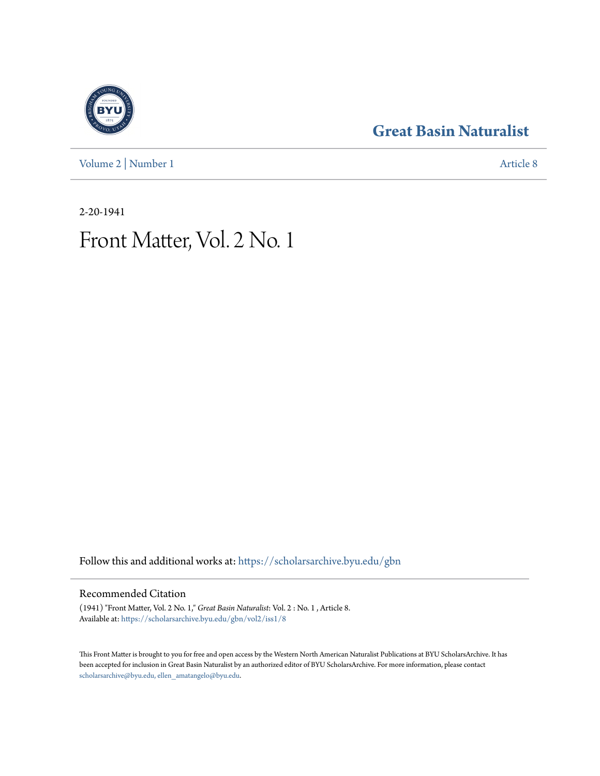# **[Great Basin Naturalist](https://scholarsarchive.byu.edu/gbn?utm_source=scholarsarchive.byu.edu%2Fgbn%2Fvol2%2Fiss1%2F8&utm_medium=PDF&utm_campaign=PDFCoverPages)**



[Volume 2](https://scholarsarchive.byu.edu/gbn/vol2?utm_source=scholarsarchive.byu.edu%2Fgbn%2Fvol2%2Fiss1%2F8&utm_medium=PDF&utm_campaign=PDFCoverPages) | [Number 1](https://scholarsarchive.byu.edu/gbn/vol2/iss1?utm_source=scholarsarchive.byu.edu%2Fgbn%2Fvol2%2Fiss1%2F8&utm_medium=PDF&utm_campaign=PDFCoverPages) [Article 8](https://scholarsarchive.byu.edu/gbn/vol2/iss1/8?utm_source=scholarsarchive.byu.edu%2Fgbn%2Fvol2%2Fiss1%2F8&utm_medium=PDF&utm_campaign=PDFCoverPages)

2-20-1941

# Front Matter, Vol. 2 No. 1

Follow this and additional works at: [https://scholarsarchive.byu.edu/gbn](https://scholarsarchive.byu.edu/gbn?utm_source=scholarsarchive.byu.edu%2Fgbn%2Fvol2%2Fiss1%2F8&utm_medium=PDF&utm_campaign=PDFCoverPages)

#### Recommended Citation

(1941) "Front Matter, Vol. 2 No. 1," *Great Basin Naturalist*: Vol. 2 : No. 1 , Article 8. Available at: [https://scholarsarchive.byu.edu/gbn/vol2/iss1/8](https://scholarsarchive.byu.edu/gbn/vol2/iss1/8?utm_source=scholarsarchive.byu.edu%2Fgbn%2Fvol2%2Fiss1%2F8&utm_medium=PDF&utm_campaign=PDFCoverPages)

This Front Matter is brought to you for free and open access by the Western North American Naturalist Publications at BYU ScholarsArchive. It has been accepted for inclusion in Great Basin Naturalist by an authorized editor of BYU ScholarsArchive. For more information, please contact [scholarsarchive@byu.edu, ellen\\_amatangelo@byu.edu.](mailto:scholarsarchive@byu.edu,%20ellen_amatangelo@byu.edu)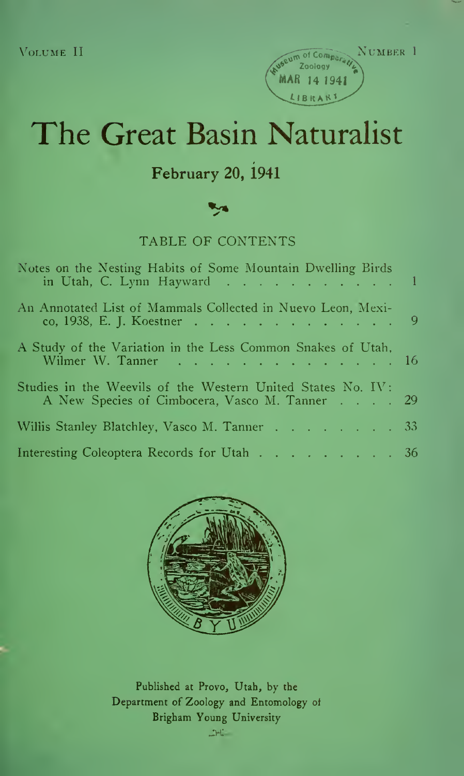

# The Great Basin Naturalist

# February 20, 1941

## TABLE OF CONTENTS

| Notes on the Nesting Habits of Some Mountain Dwelling Birds<br>in Utah, C. Lynn Hayward 1                     |  |
|---------------------------------------------------------------------------------------------------------------|--|
| An Annotated List of Mammals Collected in Nuevo Leon, Mexi-<br>co, 1938, E. J. Koestner 9                     |  |
| A Study of the Variation in the Less Common Snakes of Utah,<br>Wilmer W. Tanner 16                            |  |
| Studies in the Weevils of the Western United States No. IV:<br>A New Species of Cimbocera, Vasco M. Tanner 29 |  |
| Willis Stanley Blatchley, Vasco M. Tanner 33                                                                  |  |
| Interesting Coleoptera Records for Utah 36                                                                    |  |



Published at Provo, Utah, by the Department of Zoology and Entomology ot Brigham Young University

 $2 - 1$